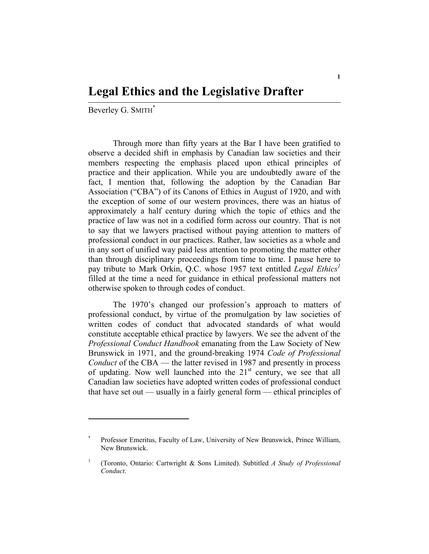Beverley G. SMITH<sup>\*</sup>

Through more than fifty years at the Bar I have been gratified to observe a decided shift in emphasis by Canadian law societies and their members respecting the emphasis placed upon ethical principles of practice and their application. While you are undoubtedly aware of the fact, I mention that, following the adoption by the Canadian Bar Association ("CBA") of its Canons of Ethics in August of 1920, and with the exception of some of our western provinces, there was an hiatus of approximately a half century during which the topic of ethics and the practice of law was not in a codified form across our country. That is not to say that we lawyers practised without paying attention to matters of professional conduct in our practices. Rather, law societies as a whole and in any sort of unified way paid less attention to promoting the matter other than through disciplinary proceedings from time to time. I pause here to pay tribute to Mark Orkin, Q.C. whose 1957 text entitled *Legal Ethics*<sup>1</sup> filled at the time a need for guidance in ethical professional matters not otherwise spoken to through codes of conduct.

The 1970's changed our profession's approach to matters of professional conduct, by virtue of the promulgation by law societies of written codes of conduct that advocated standards of what would constitute acceptable ethical practice by lawyers. We see the advent of the *Professional Conduct Handbook* emanating from the Law Society of New Brunswick in 1971, and the ground-breaking 1974 *Code of Professional Conduct* of the CBA — the latter revised in 1987 and presently in process of updating. Now well launched into the  $21<sup>st</sup>$  century, we see that all Canadian law societies have adopted written codes of professional conduct that have set out — usually in a fairly general form — ethical principles of

<sup>\*</sup> Professor Emeritus, Faculty of Law, University of New Brunswick, Prince William, New Brunswick.

<sup>1</sup> (Toronto, Ontario: Cartwright & Sons Limited). Subtitled *A Study of Professional Conduct*.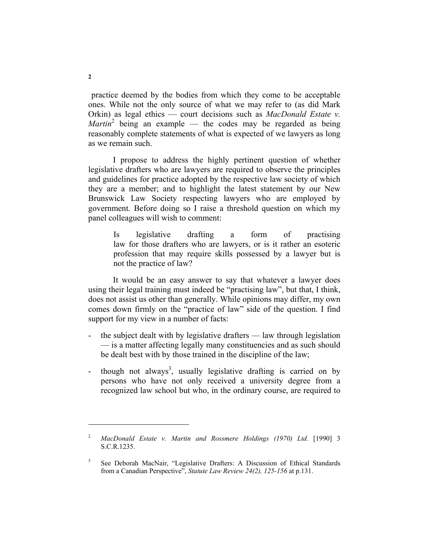practice deemed by the bodies from which they come to be acceptable ones. While not the only source of what we may refer to (as did Mark Orkin) as legal ethics — court decisions such as *MacDonald Estate v.*   $Martin<sup>2</sup>$  being an example — the codes may be regarded as being reasonably complete statements of what is expected of we lawyers as long as we remain such.

I propose to address the highly pertinent question of whether legislative drafters who are lawyers are required to observe the principles and guidelines for practice adopted by the respective law society of which they are a member; and to highlight the latest statement by our New Brunswick Law Society respecting lawyers who are employed by government. Before doing so I raise a threshold question on which my panel colleagues will wish to comment:

Is legislative drafting a form of practising law for those drafters who are lawyers, or is it rather an esoteric profession that may require skills possessed by a lawyer but is not the practice of law?

It would be an easy answer to say that whatever a lawyer does using their legal training must indeed be "practising law", but that, I think, does not assist us other than generally. While opinions may differ, my own comes down firmly on the "practice of law" side of the question. I find support for my view in a number of facts:

- the subject dealt with by legislative drafters law through legislation — is a matter affecting legally many constituencies and as such should be dealt best with by those trained in the discipline of the law;
- though not always<sup>3</sup>, usually legislative drafting is carried on by persons who have not only received a university degree from a recognized law school but who, in the ordinary course, are required to

<sup>2</sup>  *MacDonald Estate v. Martin and Rossmere Holdings (1970) Ltd.* [1990] 3 S.C.R.1235.

<sup>3</sup> See Deborah MacNair, "Legislative Drafters: A Discussion of Ethical Standards from a Canadian Perspective", *Statute Law Review 24(2), 125-156* at p.131.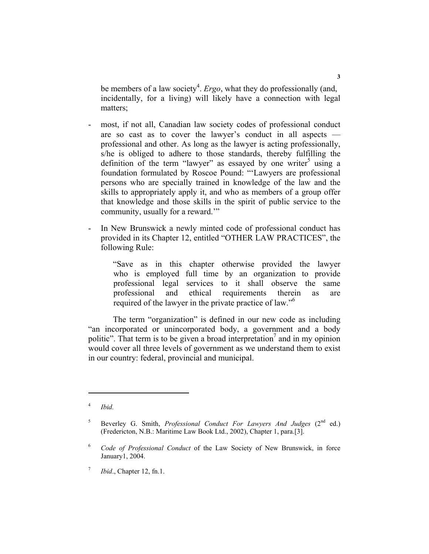be members of a law society<sup>4</sup>. *Ergo*, what they do professionally (and, incidentally, for a living) will likely have a connection with legal matters;

- most, if not all, Canadian law society codes of professional conduct are so cast as to cover the lawyer's conduct in all aspects professional and other. As long as the lawyer is acting professionally, s/he is obliged to adhere to those standards, thereby fulfilling the definition of the term "lawyer" as essayed by one writer<sup>5</sup> using a foundation formulated by Roscoe Pound: "'Lawyers are professional persons who are specially trained in knowledge of the law and the skills to appropriately apply it, and who as members of a group offer that knowledge and those skills in the spirit of public service to the community, usually for a reward.'"
- In New Brunswick a newly minted code of professional conduct has provided in its Chapter 12, entitled "OTHER LAW PRACTICES", the following Rule:

"Save as in this chapter otherwise provided the lawyer who is employed full time by an organization to provide professional legal services to it shall observe the same professional and ethical requirements therein as are required of the lawyer in the private practice of law."6

The term "organization" is defined in our new code as including "an incorporated or unincorporated body, a government and a body politic". That term is to be given a broad interpretation<sup>7</sup> and in my opinion would cover all three levels of government as we understand them to exist in our country: federal, provincial and municipal.

<sup>4</sup>  *Ibid.*

<sup>5</sup> Beverley G. Smith, *Professional Conduct For Lawyers And Judges* (2<sup>nd</sup> ed.) (Fredericton, N.B.: Maritime Law Book Ltd., 2002), Chapter 1, para.[3].

<sup>6</sup>  *Code of Professional Conduct* of the Law Society of New Brunswick, in force January1, 2004.

<sup>7</sup>  *Ibid*., Chapter 12, fn.1.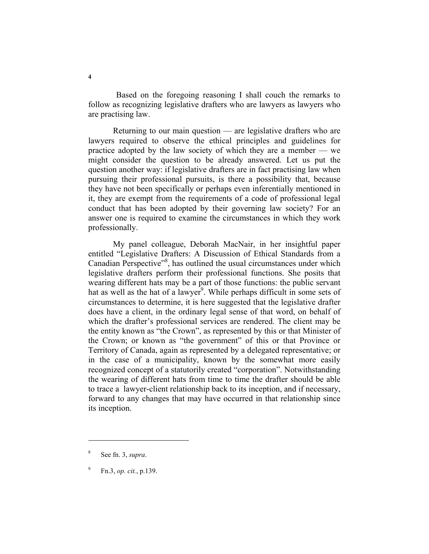Based on the foregoing reasoning I shall couch the remarks to follow as recognizing legislative drafters who are lawyers as lawyers who are practising law.

Returning to our main question — are legislative drafters who are lawyers required to observe the ethical principles and guidelines for practice adopted by the law society of which they are a member — we might consider the question to be already answered. Let us put the question another way: if legislative drafters are in fact practising law when pursuing their professional pursuits, is there a possibility that, because they have not been specifically or perhaps even inferentially mentioned in it, they are exempt from the requirements of a code of professional legal conduct that has been adopted by their governing law society? For an answer one is required to examine the circumstances in which they work professionally.

My panel colleague, Deborah MacNair, in her insightful paper entitled "Legislative Drafters: A Discussion of Ethical Standards from a Canadian Perspective"<sup>8</sup>, has outlined the usual circumstances under which legislative drafters perform their professional functions. She posits that wearing different hats may be a part of those functions: the public servant hat as well as the hat of a lawyer<sup>9</sup>. While perhaps difficult in some sets of circumstances to determine, it is here suggested that the legislative drafter does have a client, in the ordinary legal sense of that word, on behalf of which the drafter's professional services are rendered. The client may be the entity known as "the Crown", as represented by this or that Minister of the Crown; or known as "the government" of this or that Province or Territory of Canada, again as represented by a delegated representative; or in the case of a municipality, known by the somewhat more easily recognized concept of a statutorily created "corporation". Notwithstanding the wearing of different hats from time to time the drafter should be able to trace a lawyer-client relationship back to its inception, and if necessary, forward to any changes that may have occurred in that relationship since its inception.

<sup>8</sup> See fn. 3, *supra*.

<sup>9</sup> Fn.3, *op. cit.*, p.139.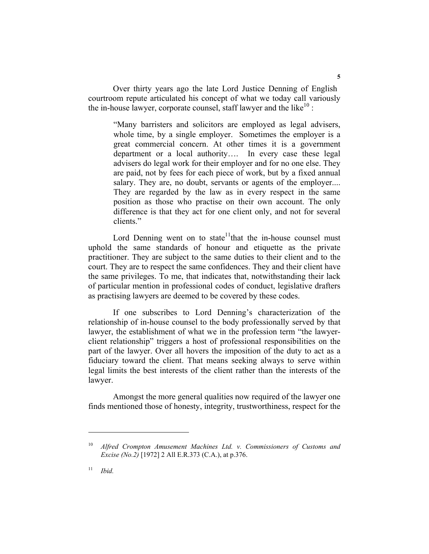Over thirty years ago the late Lord Justice Denning of English courtroom repute articulated his concept of what we today call variously the in-house lawyer, corporate counsel, staff lawyer and the like<sup>10</sup>:

"Many barristers and solicitors are employed as legal advisers, whole time, by a single employer. Sometimes the employer is a great commercial concern. At other times it is a government department or a local authority…. In every case these legal advisers do legal work for their employer and for no one else. They are paid, not by fees for each piece of work, but by a fixed annual salary. They are, no doubt, servants or agents of the employer.... They are regarded by the law as in every respect in the same position as those who practise on their own account. The only difference is that they act for one client only, and not for several clients."

Lord Denning went on to state<sup>11</sup>that the in-house counsel must uphold the same standards of honour and etiquette as the private practitioner. They are subject to the same duties to their client and to the court. They are to respect the same confidences. They and their client have the same privileges. To me, that indicates that, notwithstanding their lack of particular mention in professional codes of conduct, legislative drafters as practising lawyers are deemed to be covered by these codes.

If one subscribes to Lord Denning's characterization of the relationship of in-house counsel to the body professionally served by that lawyer, the establishment of what we in the profession term "the lawyerclient relationship" triggers a host of professional responsibilities on the part of the lawyer. Over all hovers the imposition of the duty to act as a fiduciary toward the client. That means seeking always to serve within legal limits the best interests of the client rather than the interests of the lawyer.

Amongst the more general qualities now required of the lawyer one finds mentioned those of honesty, integrity, trustworthiness, respect for the

Alfred Crompton Amusement Machines Ltd. v. Commissioners of Customs and *Excise (No.2)* [1972] 2 All E.R.373 (C.A.), at p.376.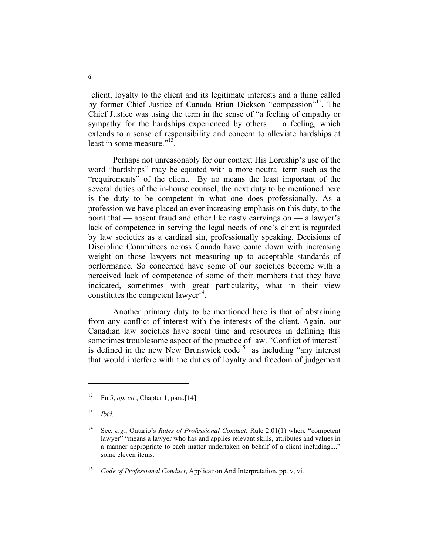client, loyalty to the client and its legitimate interests and a thing called by former Chief Justice of Canada Brian Dickson "compassion"12. The Chief Justice was using the term in the sense of "a feeling of empathy or sympathy for the hardships experienced by others — a feeling, which extends to a sense of responsibility and concern to alleviate hardships at least in some measure."<sup>13</sup>.

Perhaps not unreasonably for our context His Lordship's use of the word "hardships" may be equated with a more neutral term such as the "requirements" of the client. By no means the least important of the several duties of the in-house counsel, the next duty to be mentioned here is the duty to be competent in what one does professionally. As a profession we have placed an ever increasing emphasis on this duty, to the point that — absent fraud and other like nasty carryings on — a lawyer's lack of competence in serving the legal needs of one's client is regarded by law societies as a cardinal sin, professionally speaking. Decisions of Discipline Committees across Canada have come down with increasing weight on those lawyers not measuring up to acceptable standards of performance. So concerned have some of our societies become with a perceived lack of competence of some of their members that they have indicated, sometimes with great particularity, what in their view constitutes the competent lawyer $14$ .

Another primary duty to be mentioned here is that of abstaining from any conflict of interest with the interests of the client. Again, our Canadian law societies have spent time and resources in defining this sometimes troublesome aspect of the practice of law. "Conflict of interest" is defined in the new New Brunswick code<sup>15</sup> as including "any interest" that would interfere with the duties of loyalty and freedom of judgement

<sup>12</sup> Fn.5, *op. cit.*, Chapter 1, para.[14].

<sup>13</sup> *Ibid.*

<sup>14</sup> See, *e.g.*, Ontario's *Rules of Professional Conduct*, Rule 2.01(1) where "competent lawyer" "means a lawyer who has and applies relevant skills, attributes and values in a manner appropriate to each matter undertaken on behalf of a client including...." some eleven items.

<sup>15</sup> *Code of Professional Conduct*, Application And Interpretation, pp. v, vi.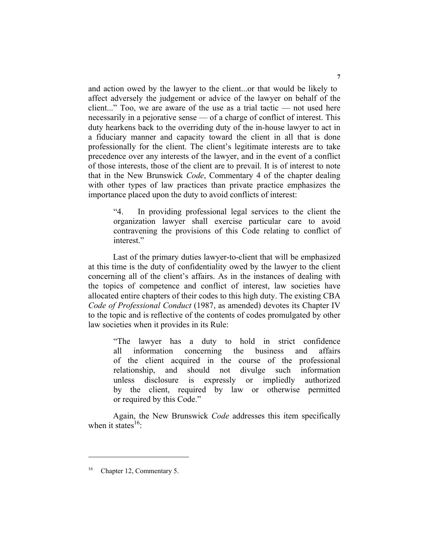and action owed by the lawyer to the client...or that would be likely to affect adversely the judgement or advice of the lawyer on behalf of the client..." Too, we are aware of the use as a trial tactic — not used here necessarily in a pejorative sense — of a charge of conflict of interest. This duty hearkens back to the overriding duty of the in-house lawyer to act in a fiduciary manner and capacity toward the client in all that is done professionally for the client. The client's legitimate interests are to take precedence over any interests of the lawyer, and in the event of a conflict of those interests, those of the client are to prevail. It is of interest to note that in the New Brunswick *Code*, Commentary 4 of the chapter dealing with other types of law practices than private practice emphasizes the importance placed upon the duty to avoid conflicts of interest:

"4. In providing professional legal services to the client the organization lawyer shall exercise particular care to avoid contravening the provisions of this Code relating to conflict of interest."

Last of the primary duties lawyer-to-client that will be emphasized at this time is the duty of confidentiality owed by the lawyer to the client concerning all of the client's affairs. As in the instances of dealing with the topics of competence and conflict of interest, law societies have allocated entire chapters of their codes to this high duty. The existing CBA *Code of Professional Conduct* (1987, as amended) devotes its Chapter IV to the topic and is reflective of the contents of codes promulgated by other law societies when it provides in its Rule:

"The lawyer has a duty to hold in strict confidence all information concerning the business and affairs of the client acquired in the course of the professional relationship, and should not divulge such information unless disclosure is expressly or impliedly authorized by the client, required by law or otherwise permitted or required by this Code."

Again, the New Brunswick *Code* addresses this item specifically when it states $^{16}$ .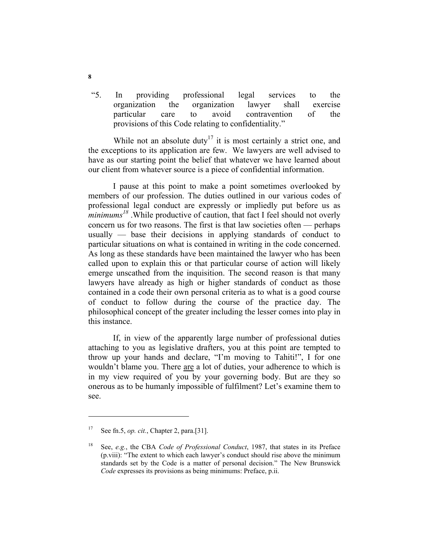"5. In providing professional legal services to the organization the organization lawyer shall exercise particular care to avoid contravention of the provisions of this Code relating to confidentiality."

While not an absolute duty<sup>17</sup> it is most certainly a strict one, and the exceptions to its application are few. We lawyers are well advised to have as our starting point the belief that whatever we have learned about our client from whatever source is a piece of confidential information.

I pause at this point to make a point sometimes overlooked by members of our profession. The duties outlined in our various codes of professional legal conduct are expressly or impliedly put before us as *minimums<sup>18</sup>* .While productive of caution, that fact I feel should not overly concern us for two reasons. The first is that law societies often — perhaps usually — base their decisions in applying standards of conduct to particular situations on what is contained in writing in the code concerned. As long as these standards have been maintained the lawyer who has been called upon to explain this or that particular course of action will likely emerge unscathed from the inquisition. The second reason is that many lawyers have already as high or higher standards of conduct as those contained in a code their own personal criteria as to what is a good course of conduct to follow during the course of the practice day. The philosophical concept of the greater including the lesser comes into play in this instance.

If, in view of the apparently large number of professional duties attaching to you as legislative drafters, you at this point are tempted to throw up your hands and declare, "I'm moving to Tahiti!", I for one wouldn't blame you. There are a lot of duties, your adherence to which is in my view required of you by your governing body. But are they so onerous as to be humanly impossible of fulfilment? Let's examine them to see.

<sup>17</sup> See fn.5, *op. cit.*, Chapter 2, para.[31].

<sup>18</sup> See, *e.g.*, the CBA *Code of Professional Conduct*, 1987, that states in its Preface (p.viii): "The extent to which each lawyer's conduct should rise above the minimum standards set by the Code is a matter of personal decision." The New Brunswick *Code* expresses its provisions as being minimums: Preface, p.ii.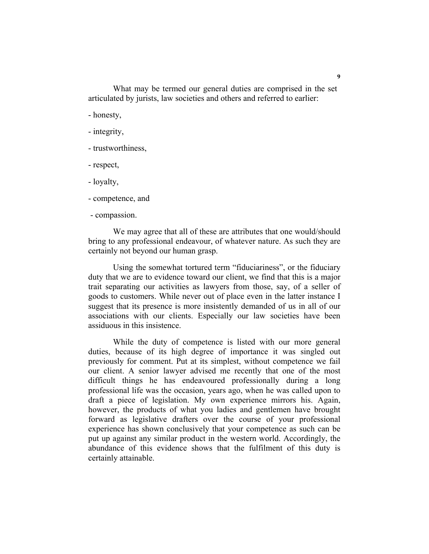What may be termed our general duties are comprised in the set articulated by jurists, law societies and others and referred to earlier:

- honesty,

- integrity,
- trustworthiness,
- respect,
- loyalty,
- competence, and
- compassion.

We may agree that all of these are attributes that one would/should bring to any professional endeavour, of whatever nature. As such they are certainly not beyond our human grasp.

Using the somewhat tortured term "fiduciariness", or the fiduciary duty that we are to evidence toward our client, we find that this is a major trait separating our activities as lawyers from those, say, of a seller of goods to customers. While never out of place even in the latter instance I suggest that its presence is more insistently demanded of us in all of our associations with our clients. Especially our law societies have been assiduous in this insistence.

While the duty of competence is listed with our more general duties, because of its high degree of importance it was singled out previously for comment. Put at its simplest, without competence we fail our client. A senior lawyer advised me recently that one of the most difficult things he has endeavoured professionally during a long professional life was the occasion, years ago, when he was called upon to draft a piece of legislation. My own experience mirrors his. Again, however, the products of what you ladies and gentlemen have brought forward as legislative drafters over the course of your professional experience has shown conclusively that your competence as such can be put up against any similar product in the western world. Accordingly, the abundance of this evidence shows that the fulfilment of this duty is certainly attainable.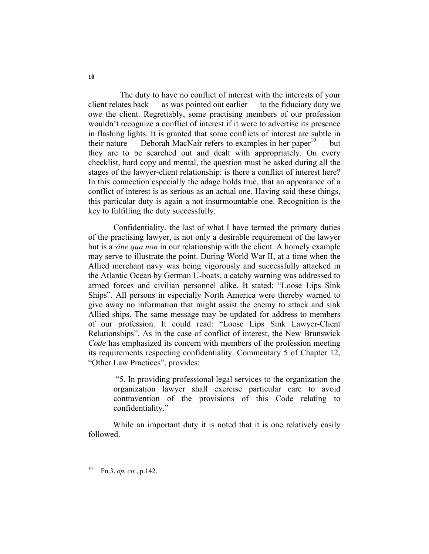The duty to have no conflict of interest with the interests of your client relates back — as was pointed out earlier — to the fiduciary duty we owe the client. Regrettably, some practising members of our profession wouldn't recognize a conflict of interest if it were to advertise its presence in flashing lights. It is granted that some conflicts of interest are subtle in their nature — Deborah MacNair refers to examples in her paper<sup>19</sup> — but they are to be searched out and dealt with appropriately. On every checklist, hard copy and mental, the question must be asked during all the stages of the lawyer-client relationship: is there a conflict of interest here? In this connection especially the adage holds true, that an appearance of a conflict of interest is as serious as an actual one. Having said these things, this particular duty is again a not insurmountable one. Recognition is the key to fulfilling the duty successfully.

 Confidentiality, the last of what I have termed the primary duties of the practising lawyer, is not only a desirable requirement of the lawyer but is a *sine qua non* in our relationship with the client. A homely example may serve to illustrate the point. During World War II, at a time when the Allied merchant navy was being vigorously and successfully attacked in the Atlantic Ocean by German U-boats, a catchy warning was addressed to armed forces and civilian personnel alike. It stated: "Loose Lips Sink Ships". All persons in especially North America were thereby warned to give away no information that might assist the enemy to attack and sink Allied ships. The same message may be updated for address to members of our profession. It could read: "Loose Lips Sink Lawyer-Client Relationships". As in the case of conflict of interest, the New Brunswick *Code* has emphasized its concern with members of the profession meeting its requirements respecting confidentiality. Commentary 5 of Chapter 12, "Other Law Practices", provides:

 "5. In providing professional legal services to the organization the organization lawyer shall exercise particular care to avoid contravention of the provisions of this Code relating to confidentiality."

While an important duty it is noted that it is one relatively easily followed.

<sup>19</sup> Fn.3, *op. cit.*, p.142.